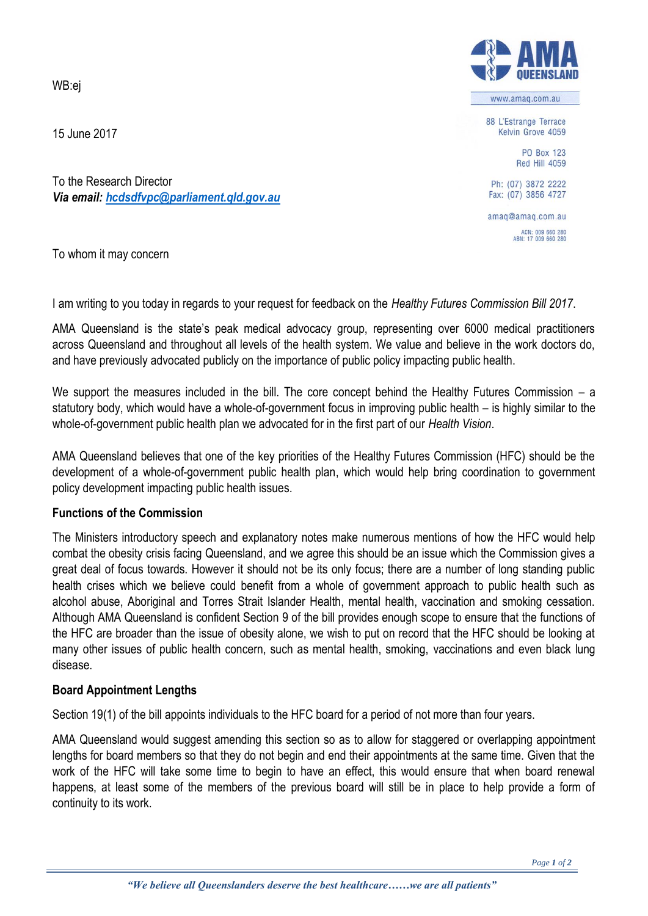WB:ej

15 June 2017

To the Research Director *Via email: [hcdsdfvpc@parliament.qld.gov.au](mailto:hcdsdfvpc@parliament.qld.gov.au)*

To whom it may concern

I am writing to you today in regards to your request for feedback on the *Healthy Futures Commission Bill 2017*.

AMA Queensland is the state's peak medical advocacy group, representing over 6000 medical practitioners across Queensland and throughout all levels of the health system. We value and believe in the work doctors do, and have previously advocated publicly on the importance of public policy impacting public health.

We support the measures included in the bill. The core concept behind the Healthy Futures Commission – a statutory body, which would have a whole-of-government focus in improving public health – is highly similar to the whole-of-government public health plan we advocated for in the first part of our *Health Vision*.

AMA Queensland believes that one of the key priorities of the Healthy Futures Commission (HFC) should be the development of a whole-of-government public health plan, which would help bring coordination to government policy development impacting public health issues.

## **Functions of the Commission**

The Ministers introductory speech and explanatory notes make numerous mentions of how the HFC would help combat the obesity crisis facing Queensland, and we agree this should be an issue which the Commission gives a great deal of focus towards. However it should not be its only focus; there are a number of long standing public health crises which we believe could benefit from a whole of government approach to public health such as alcohol abuse, Aboriginal and Torres Strait Islander Health, mental health, vaccination and smoking cessation. Although AMA Queensland is confident Section 9 of the bill provides enough scope to ensure that the functions of the HFC are broader than the issue of obesity alone, we wish to put on record that the HFC should be looking at many other issues of public health concern, such as mental health, smoking, vaccinations and even black lung disease.

## **Board Appointment Lengths**

Section 19(1) of the bill appoints individuals to the HFC board for a period of not more than four years.

AMA Queensland would suggest amending this section so as to allow for staggered or overlapping appointment lengths for board members so that they do not begin and end their appointments at the same time. Given that the work of the HFC will take some time to begin to have an effect, this would ensure that when board renewal happens, at least some of the members of the previous board will still be in place to help provide a form of continuity to its work.



www.amaq.com.au

88 L'Estrange Terrace Kelvin Grove 4059

> PO Box 123 **Red Hill 4059**

Ph: (07) 3872 2222 Fax: (07) 3856 4727

amag@amag.com.au

ACN: 009 660 280<br>ABN: 17 009 660 280